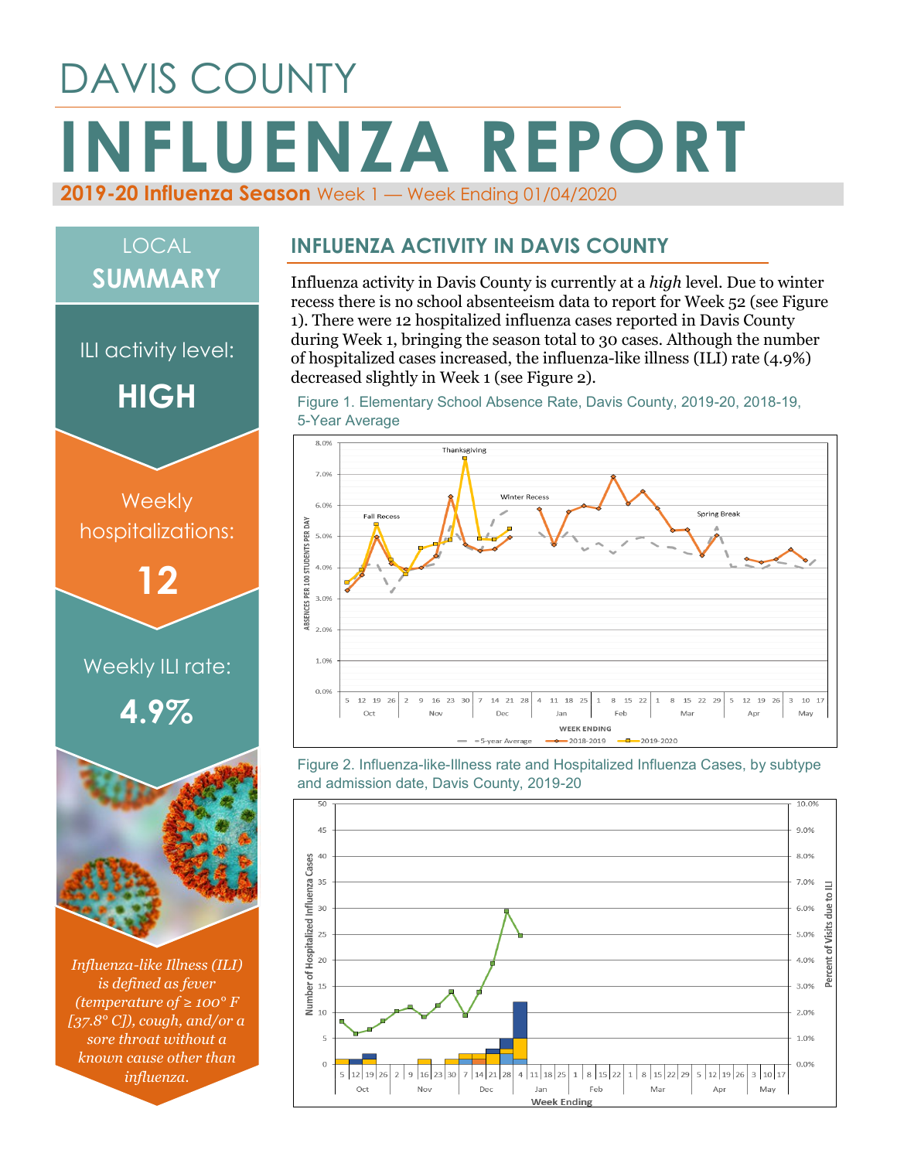## DAVIS COUNTY **INFLUENZA REPORT 2019-20 Influenza Season** Week 1 — Week Ending 01/04/2020

# *Influenza-like Illness (ILI) is defined as fever*  Weekly ILI rate: **4.9% Weekly** hospitalizations: **12** ILI activity level: **HIGH** LOCAL **SUMMARY**

*(temperature of ≥ 100° F [37.8° C]), cough, and/or a sore throat without a known cause other than influenza.*

#### **INFLUENZA ACTIVITY IN DAVIS COUNTY**

Influenza activity in Davis County is currently at a *high* level. Due to winter recess there is no school absenteeism data to report for Week 52 (see Figure 1). There were 12 hospitalized influenza cases reported in Davis County during Week 1, bringing the season total to 30 cases. Although the number of hospitalized cases increased, the influenza-like illness (ILI) rate (4.9%) decreased slightly in Week 1 (see Figure 2).

Figure 1. Elementary School Absence Rate, Davis County, 2019-20, 2018-19, 5-Year Average



Figure 2. Influenza-like-Illness rate and Hospitalized Influenza Cases, by subtype and admission date, Davis County, 2019-20